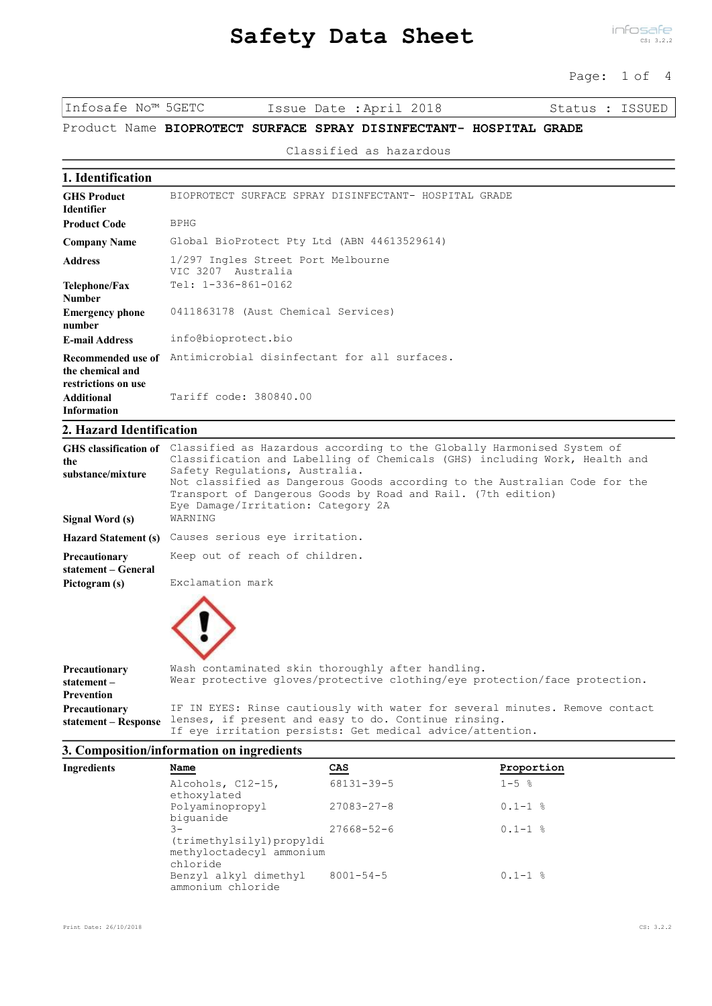# **Safety Data Sheet**

infosafe CS: 3.2.2

Page: 1 of 4

Infosafe No™ 5GETC Issue Date :April 2018 Status : ISSUED

# Product Name **BIOPROTECT SURFACE SPRAY DISINFECTANT- HOSPITAL GRADE**

#### Classified as hazardous

**1. Identification**

| <b>GHS Product</b><br><b>Identifier</b>                       | BIOPROTECT SURFACE SPRAY DISINFECTANT- HOSPITAL GRADE       |
|---------------------------------------------------------------|-------------------------------------------------------------|
| <b>Product Code</b>                                           | <b>BPHG</b>                                                 |
| <b>Company Name</b>                                           | Global BioProtect Pty Ltd (ABN 44613529614)                 |
| <b>Address</b>                                                | 1/297 Ingles Street Port Melbourne<br>VIC 3207<br>Australia |
| Telephone/Fax<br><b>Number</b>                                | Tel: 1-336-861-0162                                         |
| <b>Emergency phone</b><br>number                              | 0411863178 (Aust Chemical Services)                         |
| <b>E-mail Address</b>                                         | info@bioprotect.bio                                         |
| Recommended use of<br>the chemical and<br>restrictions on use | Antimicrobial disinfectant for all surfaces.                |
| <b>Additional</b><br><b>Information</b>                       | Tariff code: 380840.00                                      |

# **2. Hazard Identification**

| the                                          | GHS classification of Classified as Hazardous according to the Globally Harmonised System of<br>Classification and Labelling of Chemicals (GHS) including Work, Health and                                         |  |  |  |  |  |  |
|----------------------------------------------|--------------------------------------------------------------------------------------------------------------------------------------------------------------------------------------------------------------------|--|--|--|--|--|--|
| substance/mixture                            | Safety Regulations, Australia.<br>Not classified as Dangerous Goods according to the Australian Code for the<br>Transport of Dangerous Goods by Road and Rail. (7th edition)<br>Eye Damage/Irritation: Category 2A |  |  |  |  |  |  |
| Signal Word (s)                              | WARNING                                                                                                                                                                                                            |  |  |  |  |  |  |
|                                              | Hazard Statement (s) Causes serious eye irritation.                                                                                                                                                                |  |  |  |  |  |  |
| <b>Precautionary</b><br>statement – General  | Keep out of reach of children.                                                                                                                                                                                     |  |  |  |  |  |  |
| Pictogram (s)                                | Exclamation mark                                                                                                                                                                                                   |  |  |  |  |  |  |
|                                              |                                                                                                                                                                                                                    |  |  |  |  |  |  |
| Precautionary<br>$statement -$<br>Prevention | Wash contaminated skin thoroughly after handling.<br>Wear protective gloves/protective clothing/eye protection/face protection.                                                                                    |  |  |  |  |  |  |

# If eye irritation persists: Get medical advice/attention. **statement – Response 3. Composition/information on ingredients**

| 3. Composition/mitormation on ingredients |                                                                           |                  |             |  |  |
|-------------------------------------------|---------------------------------------------------------------------------|------------------|-------------|--|--|
| Ingredients                               | Name                                                                      | CAS              | Proportion  |  |  |
|                                           | Alcohols, C12-15,<br>ethoxylated                                          | 68131-39-5       | $1 - 5$ %   |  |  |
|                                           | Polyaminopropyl<br>biquanide                                              | $27083 - 27 - 8$ | $0.1 - 1$ % |  |  |
|                                           | $3 -$<br>(trimethylsilyl)propyldi<br>methyloctadecyl ammonium<br>chloride | $27668 - 52 - 6$ | $0.1 - 1$ % |  |  |
|                                           | Benzyl alkyl dimethyl<br>ammonium chloride                                | $8001 - 54 - 5$  | $0.1 - 1$ % |  |  |

lenses, if present and easy to do. Continue rinsing.

IF IN EYES: Rinse cautiously with water for several minutes. Remove contact

**Precautionary**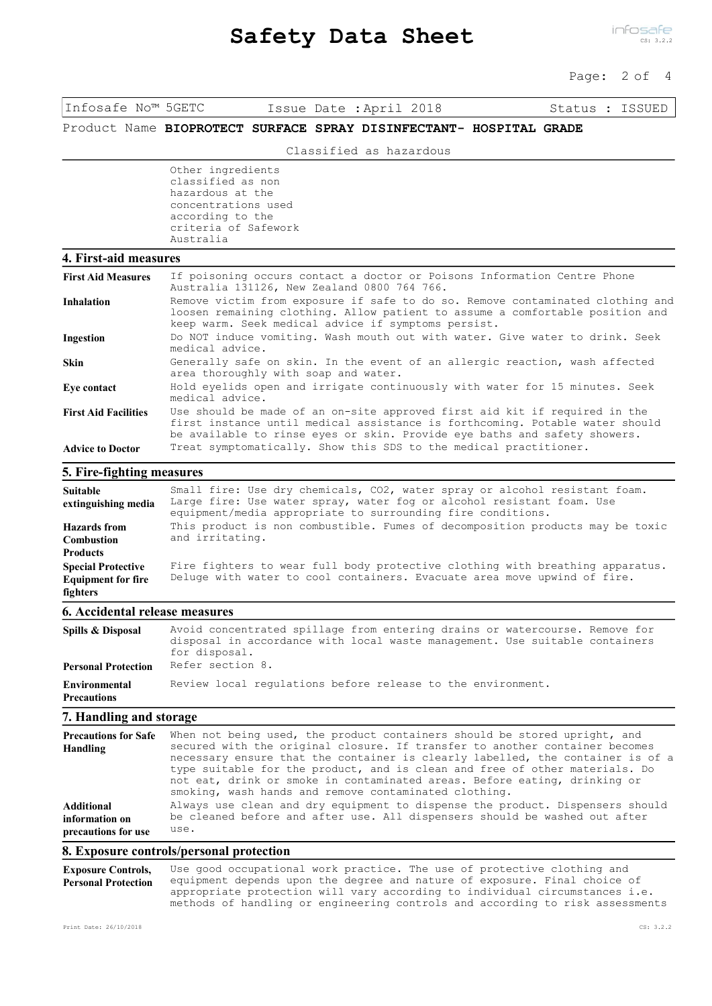#### Page: 2 of 4

Infosafe No™ 5GETC Issue Date :April 2018 Status : ISSUED

# Product Name **BIOPROTECT SURFACE SPRAY DISINFECTANT- HOSPITAL GRADE**

Classified as hazardous

Other ingredients classified as non hazardous at the concentrations used according to the criteria of Safework Australia

#### **4. First-aid measures**

| <b>First Aid Measures</b>   | If poisoning occurs contact a doctor or Poisons Information Centre Phone<br>Australia 131126, New Zealand 0800 764 766.                                                                                                                 |
|-----------------------------|-----------------------------------------------------------------------------------------------------------------------------------------------------------------------------------------------------------------------------------------|
| <b>Inhalation</b>           | Remove victim from exposure if safe to do so. Remove contaminated clothing and<br>loosen remaining clothing. Allow patient to assume a comfortable position and<br>keep warm. Seek medical advice if symptoms persist.                  |
| Ingestion                   | Do NOT induce vomiting. Wash mouth out with water. Give water to drink. Seek<br>medical advice.                                                                                                                                         |
| <b>Skin</b>                 | Generally safe on skin. In the event of an allergic reaction, wash affected<br>area thoroughly with soap and water.                                                                                                                     |
| Eve contact                 | Hold eyelids open and irrigate continuously with water for 15 minutes. Seek<br>medical advice.                                                                                                                                          |
| <b>First Aid Facilities</b> | Use should be made of an on-site approved first aid kit if required in the<br>first instance until medical assistance is forthcoming. Potable water should<br>be available to rinse eyes or skin. Provide eye baths and safety showers. |
| <b>Advice to Doctor</b>     | Treat symptomatically. Show this SDS to the medical practitioner.                                                                                                                                                                       |

#### **5. Fire-fighting measures**

| Suitable<br>extinguishing media                                    | Small fire: Use dry chemicals, CO2, water spray or alcohol resistant foam.<br>Large fire: Use water spray, water fog or alcohol resistant foam. Use<br>equipment/media appropriate to surrounding fire conditions. |
|--------------------------------------------------------------------|--------------------------------------------------------------------------------------------------------------------------------------------------------------------------------------------------------------------|
| <b>Hazards</b> from<br><b>Combustion</b><br><b>Products</b>        | This product is non combustible. Fumes of decomposition products may be toxic<br>and irritating.                                                                                                                   |
| <b>Special Protective</b><br><b>Equipment for fire</b><br>fighters | Fire fighters to wear full body protective clothing with breathing apparatus.<br>Deluge with water to cool containers. Evacuate area move upwind of fire.                                                          |
| <b>6. Accidental release measures</b>                              |                                                                                                                                                                                                                    |

| Spills & Disposal                   | Avoid concentrated spillage from entering drains or watercourse. Remove for<br>disposal in accordance with local waste management. Use suitable containers<br>for disposal. |
|-------------------------------------|-----------------------------------------------------------------------------------------------------------------------------------------------------------------------------|
| <b>Personal Protection</b>          | Refer section 8.                                                                                                                                                            |
| Environmental<br><b>Precautions</b> | Review local requiations before release to the environment.                                                                                                                 |

### **7. Handling and storage**

| <b>Precautions for Safe</b><br>Handling | When not being used, the product containers should be stored upright, and<br>secured with the original closure. If transfer to another container becomes<br>necessary ensure that the container is clearly labelled, the container is of a<br>type suitable for the product, and is clean and free of other materials. Do<br>not eat, drink or smoke in contaminated areas. Before eating, drinking or<br>smoking, wash hands and remove contaminated clothing. |
|-----------------------------------------|-----------------------------------------------------------------------------------------------------------------------------------------------------------------------------------------------------------------------------------------------------------------------------------------------------------------------------------------------------------------------------------------------------------------------------------------------------------------|
| <b>Additional</b>                       | Always use clean and dry equipment to dispense the product. Dispensers should                                                                                                                                                                                                                                                                                                                                                                                   |
| information on                          | be cleaned before and after use. All dispensers should be washed out after                                                                                                                                                                                                                                                                                                                                                                                      |
| precautions for use                     | use.                                                                                                                                                                                                                                                                                                                                                                                                                                                            |

#### **8. Exposure controls/personal protection**

Use good occupational work practice. The use of protective clothing and equipment depends upon the degree and nature of exposure. Final choice of appropriate protection will vary according to individual circumstances i.e. methods of handling or engineering controls and according to risk assessments **Exposure Controls, Personal Protection**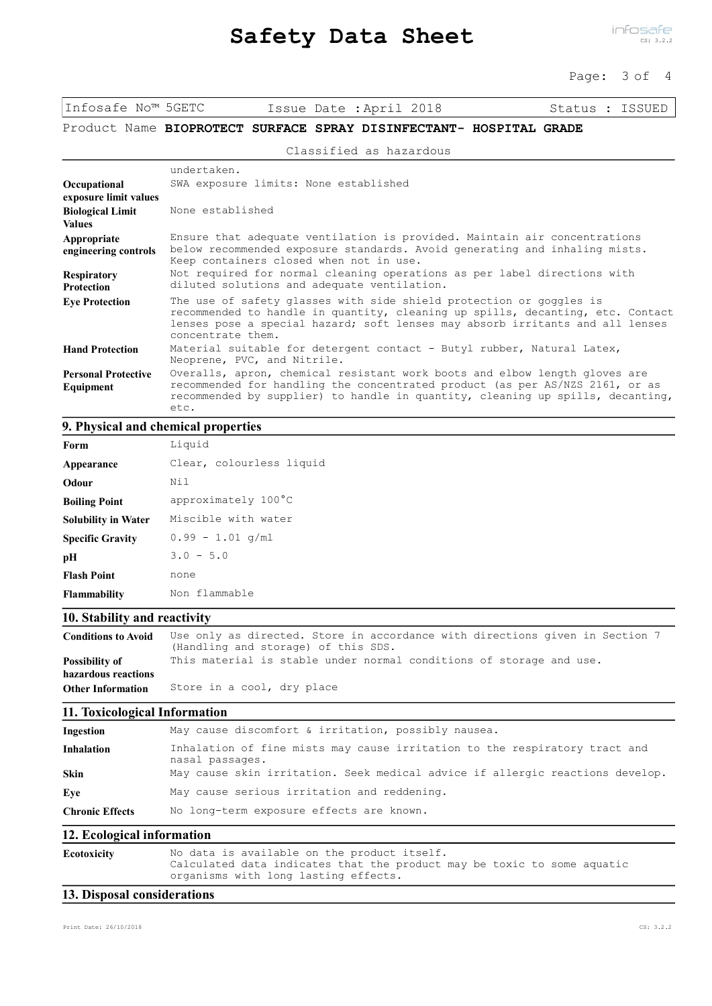#### Page: 3 of 4

Infosafe No™ 5GETC Issue Date :April 2018 Status : ISSUED

# Product Name **BIOPROTECT SURFACE SPRAY DISINFECTANT- HOSPITAL GRADE**

#### Classified as hazardous

|                                          | undertaken.                                                                                                                                                                                                                                                 |
|------------------------------------------|-------------------------------------------------------------------------------------------------------------------------------------------------------------------------------------------------------------------------------------------------------------|
| Occupational<br>exposure limit values    | SWA exposure limits: None established                                                                                                                                                                                                                       |
| <b>Biological Limit</b><br><b>Values</b> | None established                                                                                                                                                                                                                                            |
| Appropriate<br>engineering controls      | Ensure that adequate ventilation is provided. Maintain air concentrations<br>below recommended exposure standards. Avoid generating and inhaling mists.<br>Keep containers closed when not in use.                                                          |
| <b>Respiratory</b><br><b>Protection</b>  | Not required for normal cleaning operations as per label directions with<br>diluted solutions and adequate ventilation.                                                                                                                                     |
| <b>Eye Protection</b>                    | The use of safety glasses with side shield protection or goggles is<br>recommended to handle in quantity, cleaning up spills, decanting, etc. Contact<br>lenses pose a special hazard; soft lenses may absorb irritants and all lenses<br>concentrate them. |
| <b>Hand Protection</b>                   | Material suitable for detergent contact - Butyl rubber, Natural Latex,<br>Neoprene, PVC, and Nitrile.                                                                                                                                                       |
| <b>Personal Protective</b><br>Equipment  | Overalls, apron, chemical resistant work boots and elbow length gloves are<br>recommended for handling the concentrated product (as per AS/NZS 2161, or as<br>recommended by supplier) to handle in quantity, cleaning up spills, decanting,<br>etc.        |

# **9. Physical and chemical properties**

| Form                       | Liquid                   |
|----------------------------|--------------------------|
| Appearance                 | Clear, colourless liquid |
| Odour                      | Nil                      |
| <b>Boiling Point</b>       | approximately 100°C      |
| <b>Solubility in Water</b> | Miscible with water      |
| <b>Specific Gravity</b>    | $0.99 - 1.01$ q/ml       |
| pН                         | $3.0 - 5.0$              |
| <b>Flash Point</b>         | none                     |
| <b>Flammability</b>        | Non flammable            |

### **10. Stability and reactivity**

| <b>Conditions to Avoid</b> | Use only as directed. Store in accordance with directions given in Section 7<br>(Handling and storage) of this SDS. |
|----------------------------|---------------------------------------------------------------------------------------------------------------------|
| Possibility of             | This material is stable under normal conditions of storage and use.                                                 |
| hazardous reactions        |                                                                                                                     |
| <b>Other Information</b>   | Store in a cool, dry place                                                                                          |

### **11. Toxicological Information**

| Ingestion |  |  |  |  | May cause discomfort & irritation, possibly nausea. |  |  |  |
|-----------|--|--|--|--|-----------------------------------------------------|--|--|--|
|-----------|--|--|--|--|-----------------------------------------------------|--|--|--|

| <b>Inhalation</b>      | Inhalation of fine mists may cause irritation to the respiratory tract and<br>nasal passages. |
|------------------------|-----------------------------------------------------------------------------------------------|
| <b>Skin</b>            | May cause skin irritation. Seek medical advice if allergic reactions develop.                 |
| Eve                    | May cause serious irritation and reddening.                                                   |
| <b>Chronic Effects</b> | No long-term exposure effects are known.                                                      |

### **12. Ecological information**

| <b>Ecotoxicity</b> | No data is available on the product itself.                             |
|--------------------|-------------------------------------------------------------------------|
|                    | Calculated data indicates that the product may be toxic to some aquatic |
|                    | organisms with long lasting effects.                                    |

# **13. Disposal considerations**